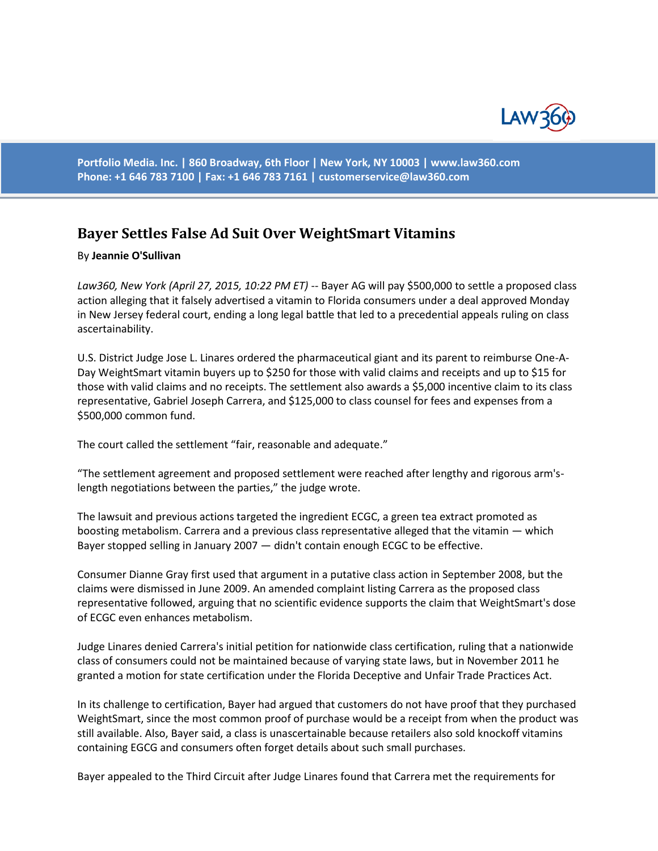

**Portfolio Media. Inc. | 860 Broadway, 6th Floor | New York, NY 10003 | www.law360.com Phone: +1 646 783 7100 | Fax: +1 646 783 7161 | [customerservice@law360.com](mailto:customerservice@law360.com)**

## **Bayer Settles False Ad Suit Over WeightSmart Vitamins**

## By **Jeannie O'Sullivan**

*Law360, New York (April 27, 2015, 10:22 PM ET)* -- Bayer AG will pay \$500,000 to settle a proposed class action alleging that it falsely advertised a vitamin to Florida consumers under a deal approved Monday in New Jersey federal court, ending a long legal battle that led to a precedential appeals ruling on class ascertainability.

U.S. District Judge Jose L. Linares ordered the pharmaceutical giant and its parent to reimburse One-A-Day WeightSmart vitamin buyers up to \$250 for those with valid claims and receipts and up to \$15 for those with valid claims and no receipts. The settlement also awards a \$5,000 incentive claim to its class representative, Gabriel Joseph Carrera, and \$125,000 to class counsel for fees and expenses from a \$500,000 common fund.

The court called the settlement "fair, reasonable and adequate."

"The settlement agreement and proposed settlement were reached after lengthy and rigorous arm'slength negotiations between the parties," the judge wrote.

The lawsuit and previous actions targeted the ingredient ECGC, a green tea extract promoted as boosting metabolism. Carrera and a previous class representative alleged that the vitamin — which Bayer stopped selling in January 2007 — didn't contain enough ECGC to be effective.

Consumer Dianne Gray first used that argument in a putative class action in September 2008, but the claims were dismissed in June 2009. An amended complaint listing Carrera as the proposed class representative followed, arguing that no scientific evidence supports the claim that WeightSmart's dose of ECGC even enhances metabolism.

Judge Linares denied Carrera's initial petition for nationwide class certification, ruling that a nationwide class of consumers could not be maintained because of varying state laws, but in November 2011 he granted a motion for state certification under the Florida Deceptive and Unfair Trade Practices Act.

In its challenge to certification, Bayer had argued that customers do not have proof that they purchased WeightSmart, since the most common proof of purchase would be a receipt from when the product was still available. Also, Bayer said, a class is unascertainable because retailers also sold knockoff vitamins containing EGCG and consumers often forget details about such small purchases.

Bayer appealed to the Third Circuit after Judge Linares found that Carrera met the requirements for